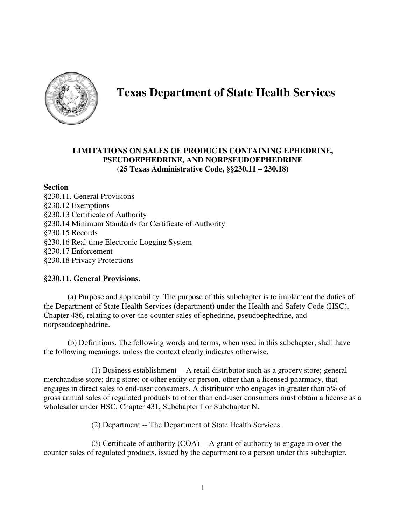

# **Texas Department of State Health Services**

## **LIMITATIONS ON SALES OF PRODUCTS CONTAINING EPHEDRINE, PSEUDOEPHEDRINE, AND NORPSEUDOEPHEDRINE (25 Texas Administrative Code, §§230.11 – 230.18)**

#### **Section**

§230.11. General Provisions §230.12 Exemptions §230.13 Certificate of Authority §230.14 Minimum Standards for Certificate of Authority §230.15 Records §230.16 Real-time Electronic Logging System §230.17 Enforcement §230.18 Privacy Protections

## **§230.11. General Provisions**.

 (a) Purpose and applicability. The purpose of this subchapter is to implement the duties of the Department of State Health Services (department) under the Health and Safety Code (HSC), Chapter 486, relating to over-the-counter sales of ephedrine, pseudoephedrine, and norpseudoephedrine.

 (b) Definitions. The following words and terms, when used in this subchapter, shall have the following meanings, unless the context clearly indicates otherwise.

 (1) Business establishment -- A retail distributor such as a grocery store; general merchandise store; drug store; or other entity or person, other than a licensed pharmacy, that engages in direct sales to end-user consumers. A distributor who engages in greater than 5% of gross annual sales of regulated products to other than end-user consumers must obtain a license as a wholesaler under HSC, Chapter 431, Subchapter I or Subchapter N.

(2) Department -- The Department of State Health Services.

(3) Certificate of authority (COA) -- A grant of authority to engage in over-the counter sales of regulated products, issued by the department to a person under this subchapter.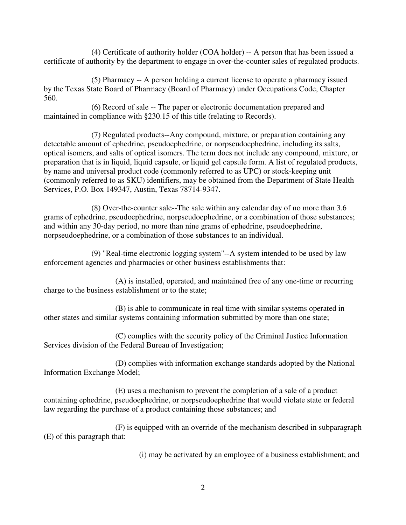(4) Certificate of authority holder (COA holder) -- A person that has been issued a certificate of authority by the department to engage in over-the-counter sales of regulated products.

(5) Pharmacy -- A person holding a current license to operate a pharmacy issued by the Texas State Board of Pharmacy (Board of Pharmacy) under Occupations Code, Chapter 560.

(6) Record of sale -- The paper or electronic documentation prepared and maintained in compliance with §230.15 of this title (relating to Records).

 (7) Regulated products--Any compound, mixture, or preparation containing any detectable amount of ephedrine, pseudoephedrine, or norpseudoephedrine, including its salts, optical isomers, and salts of optical isomers. The term does not include any compound, mixture, or preparation that is in liquid, liquid capsule, or liquid gel capsule form. A list of regulated products, by name and universal product code (commonly referred to as UPC) or stock-keeping unit (commonly referred to as SKU) identifiers, may be obtained from the Department of State Health Services, P.O. Box 149347, Austin, Texas 78714-9347.

 (8) Over-the-counter sale--The sale within any calendar day of no more than 3.6 grams of ephedrine, pseudoephedrine, norpseudoephedrine, or a combination of those substances; and within any 30-day period, no more than nine grams of ephedrine, pseudoephedrine, norpseudoephedrine, or a combination of those substances to an individual.

 (9) "Real-time electronic logging system"--A system intended to be used by law enforcement agencies and pharmacies or other business establishments that:

 (A) is installed, operated, and maintained free of any one-time or recurring charge to the business establishment or to the state;

 (B) is able to communicate in real time with similar systems operated in other states and similar systems containing information submitted by more than one state;

 (C) complies with the security policy of the Criminal Justice Information Services division of the Federal Bureau of Investigation;

 (D) complies with information exchange standards adopted by the National Information Exchange Model;

 (E) uses a mechanism to prevent the completion of a sale of a product containing ephedrine, pseudoephedrine, or norpseudoephedrine that would violate state or federal law regarding the purchase of a product containing those substances; and

 (F) is equipped with an override of the mechanism described in subparagraph (E) of this paragraph that:

(i) may be activated by an employee of a business establishment; and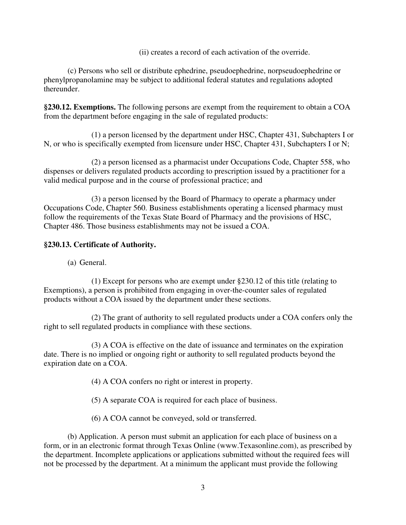(ii) creates a record of each activation of the override.

 (c) Persons who sell or distribute ephedrine, pseudoephedrine, norpseudoephedrine or phenylpropanolamine may be subject to additional federal statutes and regulations adopted thereunder.

**§230.12. Exemptions.** The following persons are exempt from the requirement to obtain a COA from the department before engaging in the sale of regulated products:

(1) a person licensed by the department under HSC, Chapter 431, Subchapters I or N, or who is specifically exempted from licensure under HSC, Chapter 431, Subchapters I or N;

(2) a person licensed as a pharmacist under Occupations Code, Chapter 558, who dispenses or delivers regulated products according to prescription issued by a practitioner for a valid medical purpose and in the course of professional practice; and

(3) a person licensed by the Board of Pharmacy to operate a pharmacy under Occupations Code, Chapter 560. Business establishments operating a licensed pharmacy must follow the requirements of the Texas State Board of Pharmacy and the provisions of HSC, Chapter 486. Those business establishments may not be issued a COA.

## **§230.13. Certificate of Authority.**

(a) General.

(1) Except for persons who are exempt under §230.12 of this title (relating to Exemptions), a person is prohibited from engaging in over-the-counter sales of regulated products without a COA issued by the department under these sections.

(2) The grant of authority to sell regulated products under a COA confers only the right to sell regulated products in compliance with these sections.

(3) A COA is effective on the date of issuance and terminates on the expiration date. There is no implied or ongoing right or authority to sell regulated products beyond the expiration date on a COA.

(4) A COA confers no right or interest in property.

(5) A separate COA is required for each place of business.

(6) A COA cannot be conveyed, sold or transferred.

(b) Application. A person must submit an application for each place of business on a form, or in an electronic format through Texas Online (www.Texasonline.com), as prescribed by the department. Incomplete applications or applications submitted without the required fees will not be processed by the department. At a minimum the applicant must provide the following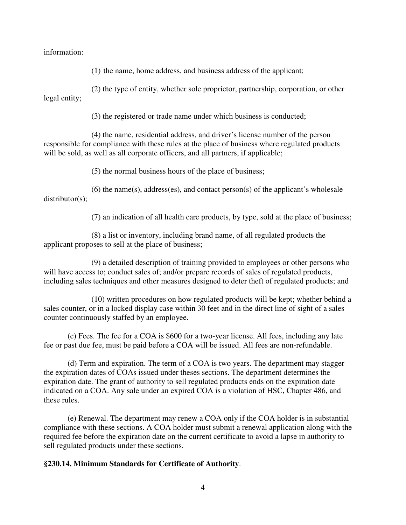information:

(1) the name, home address, and business address of the applicant;

(2) the type of entity, whether sole proprietor, partnership, corporation, or other legal entity;

(3) the registered or trade name under which business is conducted;

(4) the name, residential address, and driver's license number of the person responsible for compliance with these rules at the place of business where regulated products will be sold, as well as all corporate officers, and all partners, if applicable;

(5) the normal business hours of the place of business;

(6) the name(s), address(es), and contact person(s) of the applicant's wholesale distributor(s);

(7) an indication of all health care products, by type, sold at the place of business;

(8) a list or inventory, including brand name, of all regulated products the applicant proposes to sell at the place of business;

(9) a detailed description of training provided to employees or other persons who will have access to; conduct sales of; and/or prepare records of sales of regulated products, including sales techniques and other measures designed to deter theft of regulated products; and

(10) written procedures on how regulated products will be kept; whether behind a sales counter, or in a locked display case within 30 feet and in the direct line of sight of a sales counter continuously staffed by an employee.

(c) Fees. The fee for a COA is \$600 for a two-year license. All fees, including any late fee or past due fee, must be paid before a COA will be issued. All fees are non-refundable.

(d) Term and expiration. The term of a COA is two years. The department may stagger the expiration dates of COAs issued under theses sections. The department determines the expiration date. The grant of authority to sell regulated products ends on the expiration date indicated on a COA. Any sale under an expired COA is a violation of HSC, Chapter 486, and these rules.

(e) Renewal. The department may renew a COA only if the COA holder is in substantial compliance with these sections. A COA holder must submit a renewal application along with the required fee before the expiration date on the current certificate to avoid a lapse in authority to sell regulated products under these sections.

#### **§230.14. Minimum Standards for Certificate of Authority**.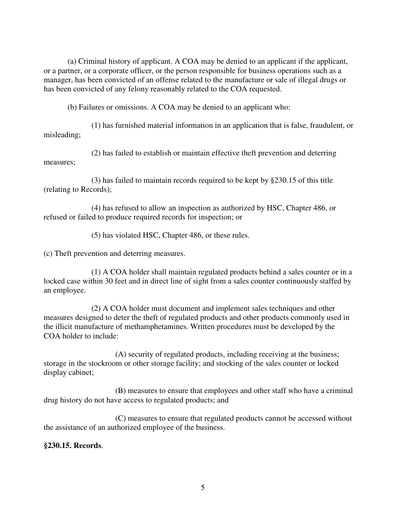(a) Criminal history of applicant. A COA may be denied to an applicant if the applicant, or a partner, or a corporate officer, or the person responsible for business operations such as a manager, has been convicted of an offense related to the manufacture or sale of illegal drugs or has been convicted of any felony reasonably related to the COA requested.

(b) Failures or omissions. A COA may be denied to an applicant who:

(1) has furnished material information in an application that is false, fraudulent, or misleading;

(2) has failed to establish or maintain effective theft prevention and deterring measures;

(3) has failed to maintain records required to be kept by §230.15 of this title (relating to Records);

(4) has refused to allow an inspection as authorized by HSC, Chapter 486, or refused or failed to produce required records for inspection; or

(5) has violated HSC, Chapter 486, or these rules.

(c) Theft prevention and deterring measures.

(1) A COA holder shall maintain regulated products behind a sales counter or in a locked case within 30 feet and in direct line of sight from a sales counter continuously staffed by an employee.

(2) A COA holder must document and implement sales techniques and other measures designed to deter the theft of regulated products and other products commonly used in the illicit manufacture of methamphetamines. Written procedures must be developed by the COA holder to include:

(A) security of regulated products, including receiving at the business; storage in the stockroom or other storage facility; and stocking of the sales counter or locked display cabinet;

(B) measures to ensure that employees and other staff who have a criminal drug history do not have access to regulated products; and

(C) measures to ensure that regulated products cannot be accessed without the assistance of an authorized employee of the business.

## **§230.15. Records**.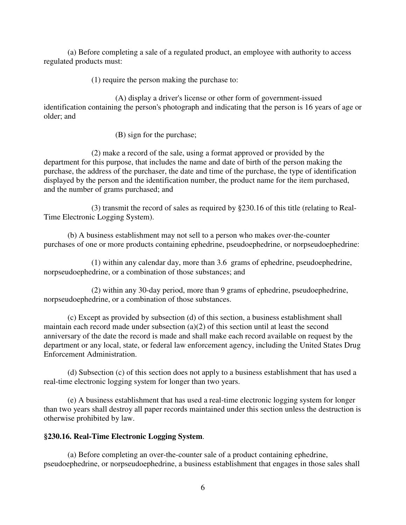(a) Before completing a sale of a regulated product, an employee with authority to access regulated products must:

(1) require the person making the purchase to:

 (A) display a driver's license or other form of government-issued identification containing the person's photograph and indicating that the person is 16 years of age or older; and

(B) sign for the purchase;

 (2) make a record of the sale, using a format approved or provided by the department for this purpose, that includes the name and date of birth of the person making the purchase, the address of the purchaser, the date and time of the purchase, the type of identification displayed by the person and the identification number, the product name for the item purchased, and the number of grams purchased; and

 (3) transmit the record of sales as required by §230.16 of this title (relating to Real-Time Electronic Logging System).

 (b) A business establishment may not sell to a person who makes over-the-counter purchases of one or more products containing ephedrine, pseudoephedrine, or norpseudoephedrine:

 (1) within any calendar day, more than 3.6 grams of ephedrine, pseudoephedrine, norpseudoephedrine, or a combination of those substances; and

 (2) within any 30-day period, more than 9 grams of ephedrine, pseudoephedrine, norpseudoephedrine, or a combination of those substances.

 (c) Except as provided by subsection (d) of this section, a business establishment shall maintain each record made under subsection (a)(2) of this section until at least the second anniversary of the date the record is made and shall make each record available on request by the department or any local, state, or federal law enforcement agency, including the United States Drug Enforcement Administration.

 (d) Subsection (c) of this section does not apply to a business establishment that has used a real-time electronic logging system for longer than two years.

 (e) A business establishment that has used a real-time electronic logging system for longer than two years shall destroy all paper records maintained under this section unless the destruction is otherwise prohibited by law.

#### **§230.16. Real-Time Electronic Logging System**.

 (a) Before completing an over-the-counter sale of a product containing ephedrine, pseudoephedrine, or norpseudoephedrine, a business establishment that engages in those sales shall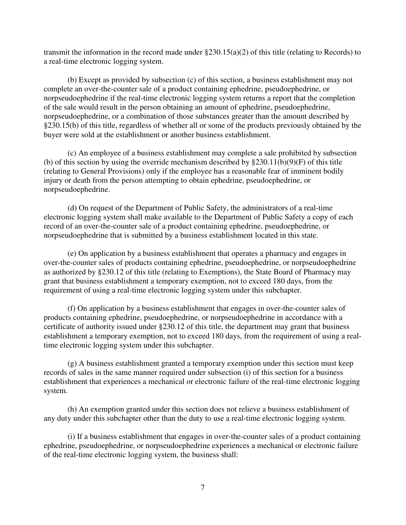transmit the information in the record made under  $\S 230.15(a)(2)$  of this title (relating to Records) to a real-time electronic logging system.

 (b) Except as provided by subsection (c) of this section, a business establishment may not complete an over-the-counter sale of a product containing ephedrine, pseudoephedrine, or norpseudoephedrine if the real-time electronic logging system returns a report that the completion of the sale would result in the person obtaining an amount of ephedrine, pseudoephedrine, norpseudoephedrine, or a combination of those substances greater than the amount described by §230.15(b) of this title, regardless of whether all or some of the products previously obtained by the buyer were sold at the establishment or another business establishment.

 (c) An employee of a business establishment may complete a sale prohibited by subsection (b) of this section by using the override mechanism described by  $\S 230.11(b)(9)(F)$  of this title (relating to General Provisions) only if the employee has a reasonable fear of imminent bodily injury or death from the person attempting to obtain ephedrine, pseudoephedrine, or norpseudoephedrine.

 (d) On request of the Department of Public Safety, the administrators of a real-time electronic logging system shall make available to the Department of Public Safety a copy of each record of an over-the-counter sale of a product containing ephedrine, pseudoephedrine, or norpseudoephedrine that is submitted by a business establishment located in this state.

 (e) On application by a business establishment that operates a pharmacy and engages in over-the-counter sales of products containing ephedrine, pseudoephedrine, or norpseudoephedrine as authorized by §230.12 of this title (relating to Exemptions), the State Board of Pharmacy may grant that business establishment a temporary exemption, not to exceed 180 days, from the requirement of using a real-time electronic logging system under this subchapter.

 (f) On application by a business establishment that engages in over-the-counter sales of products containing ephedrine, pseudoephedrine, or norpseudoephedrine in accordance with a certificate of authority issued under §230.12 of this title, the department may grant that business establishment a temporary exemption, not to exceed 180 days, from the requirement of using a realtime electronic logging system under this subchapter.

 (g) A business establishment granted a temporary exemption under this section must keep records of sales in the same manner required under subsection (i) of this section for a business establishment that experiences a mechanical or electronic failure of the real-time electronic logging system.

 (h) An exemption granted under this section does not relieve a business establishment of any duty under this subchapter other than the duty to use a real-time electronic logging system.

 (i) If a business establishment that engages in over-the-counter sales of a product containing ephedrine, pseudoephedrine, or norpseudoephedrine experiences a mechanical or electronic failure of the real-time electronic logging system, the business shall: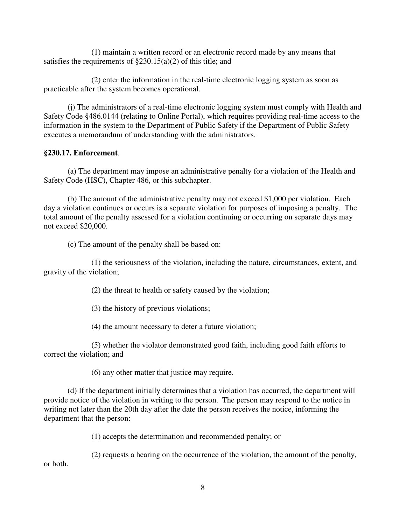(1) maintain a written record or an electronic record made by any means that satisfies the requirements of  $\S 230.15(a)(2)$  of this title; and

 (2) enter the information in the real-time electronic logging system as soon as practicable after the system becomes operational.

 (j) The administrators of a real-time electronic logging system must comply with Health and Safety Code §486.0144 (relating to Online Portal), which requires providing real-time access to the information in the system to the Department of Public Safety if the Department of Public Safety executes a memorandum of understanding with the administrators.

### **§230.17. Enforcement**.

 (a) The department may impose an administrative penalty for a violation of the Health and Safety Code (HSC), Chapter 486, or this subchapter.

 (b) The amount of the administrative penalty may not exceed \$1,000 per violation. Each day a violation continues or occurs is a separate violation for purposes of imposing a penalty. The total amount of the penalty assessed for a violation continuing or occurring on separate days may not exceed \$20,000.

(c) The amount of the penalty shall be based on:

 (1) the seriousness of the violation, including the nature, circumstances, extent, and gravity of the violation;

(2) the threat to health or safety caused by the violation;

(3) the history of previous violations;

(4) the amount necessary to deter a future violation;

 (5) whether the violator demonstrated good faith, including good faith efforts to correct the violation; and

(6) any other matter that justice may require.

 (d) If the department initially determines that a violation has occurred, the department will provide notice of the violation in writing to the person. The person may respond to the notice in writing not later than the 20th day after the date the person receives the notice, informing the department that the person:

(1) accepts the determination and recommended penalty; or

 (2) requests a hearing on the occurrence of the violation, the amount of the penalty, or both.